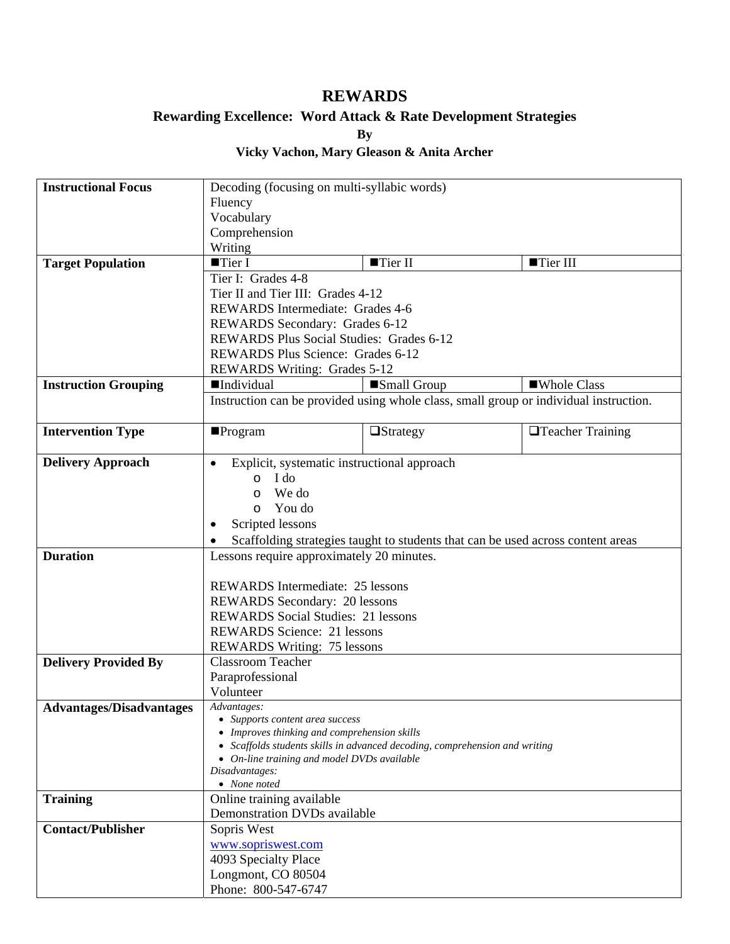## **REWARDS**

## **Rewarding Excellence: Word Attack & Rate Development Strategies**

**By** 

## **Vicky Vachon, Mary Gleason & Anita Archer**

| <b>Instructional Focus</b>      | Decoding (focusing on multi-syllabic words)                                                                                |                        |                                                                                       |  |
|---------------------------------|----------------------------------------------------------------------------------------------------------------------------|------------------------|---------------------------------------------------------------------------------------|--|
|                                 | Fluency                                                                                                                    |                        |                                                                                       |  |
|                                 | Vocabulary                                                                                                                 |                        |                                                                                       |  |
|                                 | Comprehension                                                                                                              |                        |                                                                                       |  |
|                                 | Writing                                                                                                                    |                        |                                                                                       |  |
| <b>Target Population</b>        | $\blacksquare$ Tier I                                                                                                      | $\blacksquare$ Tier II | ■Tier III                                                                             |  |
|                                 | Tier I: Grades 4-8                                                                                                         |                        |                                                                                       |  |
|                                 | Tier II and Tier III: Grades 4-12                                                                                          |                        |                                                                                       |  |
|                                 | <b>REWARDS</b> Intermediate: Grades 4-6                                                                                    |                        |                                                                                       |  |
|                                 | REWARDS Secondary: Grades 6-12                                                                                             |                        |                                                                                       |  |
|                                 | REWARDS Plus Social Studies: Grades 6-12                                                                                   |                        |                                                                                       |  |
|                                 | <b>REWARDS Plus Science: Grades 6-12</b>                                                                                   |                        |                                                                                       |  |
|                                 | REWARDS Writing: Grades 5-12                                                                                               |                        |                                                                                       |  |
|                                 |                                                                                                                            |                        |                                                                                       |  |
| <b>Instruction Grouping</b>     | <b>Individual</b>                                                                                                          | Small Group            | ■Whole Class                                                                          |  |
|                                 |                                                                                                                            |                        | Instruction can be provided using whole class, small group or individual instruction. |  |
|                                 |                                                                                                                            |                        |                                                                                       |  |
| <b>Intervention Type</b>        | $\blacksquare$ Program                                                                                                     | <b>Strategy</b>        | <b>T</b> eacher Training                                                              |  |
|                                 |                                                                                                                            |                        |                                                                                       |  |
| <b>Delivery Approach</b>        | Explicit, systematic instructional approach<br>$\bullet$                                                                   |                        |                                                                                       |  |
|                                 | I do<br>$\circ$                                                                                                            |                        |                                                                                       |  |
|                                 | We do<br>$\circ$                                                                                                           |                        |                                                                                       |  |
|                                 | You do<br>$\circ$                                                                                                          |                        |                                                                                       |  |
|                                 | Scripted lessons                                                                                                           |                        |                                                                                       |  |
|                                 |                                                                                                                            |                        | Scaffolding strategies taught to students that can be used across content areas       |  |
| <b>Duration</b>                 | Lessons require approximately 20 minutes.                                                                                  |                        |                                                                                       |  |
|                                 |                                                                                                                            |                        |                                                                                       |  |
|                                 | <b>REWARDS</b> Intermediate: 25 lessons                                                                                    |                        |                                                                                       |  |
|                                 | REWARDS Secondary: 20 lessons                                                                                              |                        |                                                                                       |  |
|                                 | <b>REWARDS</b> Social Studies: 21 lessons                                                                                  |                        |                                                                                       |  |
|                                 | <b>REWARDS Science: 21 lessons</b>                                                                                         |                        |                                                                                       |  |
|                                 | <b>REWARDS Writing: 75 lessons</b>                                                                                         |                        |                                                                                       |  |
| <b>Delivery Provided By</b>     | Classroom Teacher                                                                                                          |                        |                                                                                       |  |
|                                 | Paraprofessional                                                                                                           |                        |                                                                                       |  |
|                                 | Volunteer                                                                                                                  |                        |                                                                                       |  |
| <b>Advantages/Disadvantages</b> | Advantages:                                                                                                                |                        |                                                                                       |  |
|                                 | • Supports content area success                                                                                            |                        |                                                                                       |  |
|                                 | • Improves thinking and comprehension skills                                                                               |                        |                                                                                       |  |
|                                 | • Scaffolds students skills in advanced decoding, comprehension and writing<br>• On-line training and model DVDs available |                        |                                                                                       |  |
|                                 | Disadvantages:                                                                                                             |                        |                                                                                       |  |
|                                 | $\bullet$ None noted                                                                                                       |                        |                                                                                       |  |
| <b>Training</b>                 | Online training available                                                                                                  |                        |                                                                                       |  |
|                                 | Demonstration DVDs available                                                                                               |                        |                                                                                       |  |
| <b>Contact/Publisher</b>        | Sopris West                                                                                                                |                        |                                                                                       |  |
|                                 | www.sopriswest.com                                                                                                         |                        |                                                                                       |  |
|                                 | 4093 Specialty Place                                                                                                       |                        |                                                                                       |  |
|                                 | Longmont, CO 80504                                                                                                         |                        |                                                                                       |  |
|                                 | Phone: 800-547-6747                                                                                                        |                        |                                                                                       |  |
|                                 |                                                                                                                            |                        |                                                                                       |  |